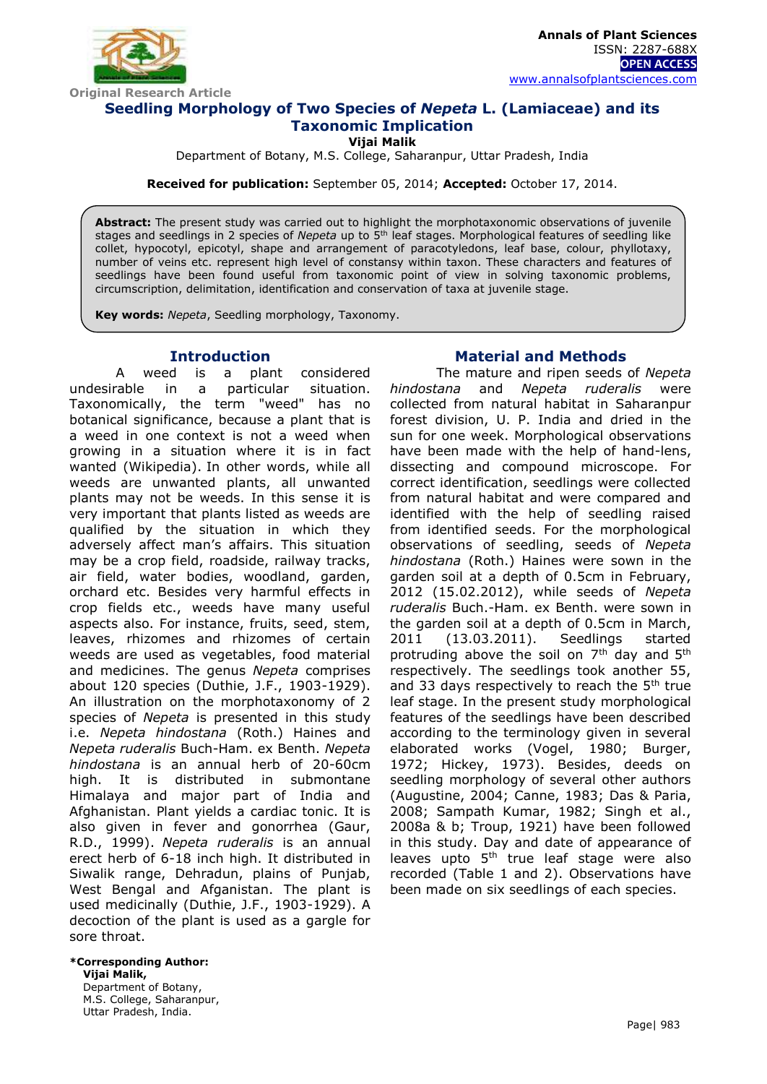

**Annals of Plant Sciences** ISSN: 2287-688X **OPEN ACCESS** [www.annalsofplantsciences.com](http://www.annalsofplantsciences.com/)

# **Seedling Morphology of Two Species of** *Nepeta* **L. (Lamiaceae) and its Taxonomic Implication**

**Vijai Malik**

Department of Botany, M.S. College, Saharanpur, Uttar Pradesh, India

**Received for publication:** September 05, 2014; **Accepted:** October 17, 2014.

**Abstract:** The present study was carried out to highlight the morphotaxonomic observations of juvenile stages and seedlings in 2 species of *Nepeta* up to 5th leaf stages. Morphological features of seedling like collet, hypocotyl, epicotyl, shape and arrangement of paracotyledons, leaf base, colour, phyllotaxy, number of veins etc. represent high level of constansy within taxon. These characters and features of seedlings have been found useful from taxonomic point of view in solving taxonomic problems, circumscription, delimitation, identification and conservation of taxa at juvenile stage.

**Key words:** *Nepeta*, Seedling morphology, Taxonomy.

## **Introduction**

A weed is a plant considered undesirable in a particular situation. Taxonomically, the term "weed" has no botanical significance, because a plant that is a weed in one context is not a weed when growing in a situation where it is in fact wanted (Wikipedia). In other words, while all weeds are unwanted plants, all unwanted plants may not be weeds. In this sense it is very important that plants listed as weeds are qualified by the situation in which they adversely affect man's affairs. This situation may be a crop field, roadside, railway tracks, air field, water bodies, woodland, garden, orchard etc. Besides very harmful effects in crop fields etc., weeds have many useful aspects also. For instance, fruits, seed, stem, leaves, rhizomes and rhizomes of certain weeds are used as vegetables, food material and medicines. The genus *Nepeta* comprises about 120 species (Duthie, J.F., 1903-1929). An illustration on the morphotaxonomy of 2 species of *Nepeta* is presented in this study i.e. *Nepeta hindostana* (Roth.) Haines and *Nepeta ruderalis* Buch-Ham. ex Benth. *Nepeta hindostana* is an annual herb of 20-60cm high. It is distributed in submontane Himalaya and major part of India and Afghanistan. Plant yields a cardiac tonic. It is also given in fever and gonorrhea (Gaur, R.D., 1999). *Nepeta ruderalis* is an annual erect herb of 6-18 inch high. It distributed in Siwalik range, Dehradun, plains of Punjab, West Bengal and Afganistan. The plant is used medicinally (Duthie, J.F., 1903-1929). A decoction of the plant is used as a gargle for sore throat.

# **\*Corresponding Author:**

**Vijai Malik,** Department of Botany, M.S. College, Saharanpur, Uttar Pradesh, India.

## **Material and Methods**

The mature and ripen seeds of *Nepeta hindostana* and *Nepeta ruderalis* were collected from natural habitat in Saharanpur forest division, U. P. India and dried in the sun for one week. Morphological observations have been made with the help of hand-lens, dissecting and compound microscope. For correct identification, seedlings were collected from natural habitat and were compared and identified with the help of seedling raised from identified seeds. For the morphological observations of seedling, seeds of *Nepeta hindostana* (Roth.) Haines were sown in the garden soil at a depth of 0.5cm in February, 2012 (15.02.2012), while seeds of *Nepeta ruderalis* Buch.-Ham. ex Benth. were sown in the garden soil at a depth of 0.5cm in March, 2011 (13.03.2011). Seedlings started protruding above the soil on  $7<sup>th</sup>$  day and  $5<sup>th</sup>$ respectively. The seedlings took another 55, and 33 days respectively to reach the  $5<sup>th</sup>$  true leaf stage. In the present study morphological features of the seedlings have been described according to the terminology given in several elaborated works (Vogel, 1980; Burger, 1972; Hickey, 1973). Besides, deeds on seedling morphology of several other authors (Augustine, 2004; Canne, 1983; Das & Paria, 2008; Sampath Kumar, 1982; Singh et al., 2008a & b; Troup, 1921) have been followed in this study. Day and date of appearance of leaves upto 5<sup>th</sup> true leaf stage were also recorded (Table 1 and 2). Observations have been made on six seedlings of each species.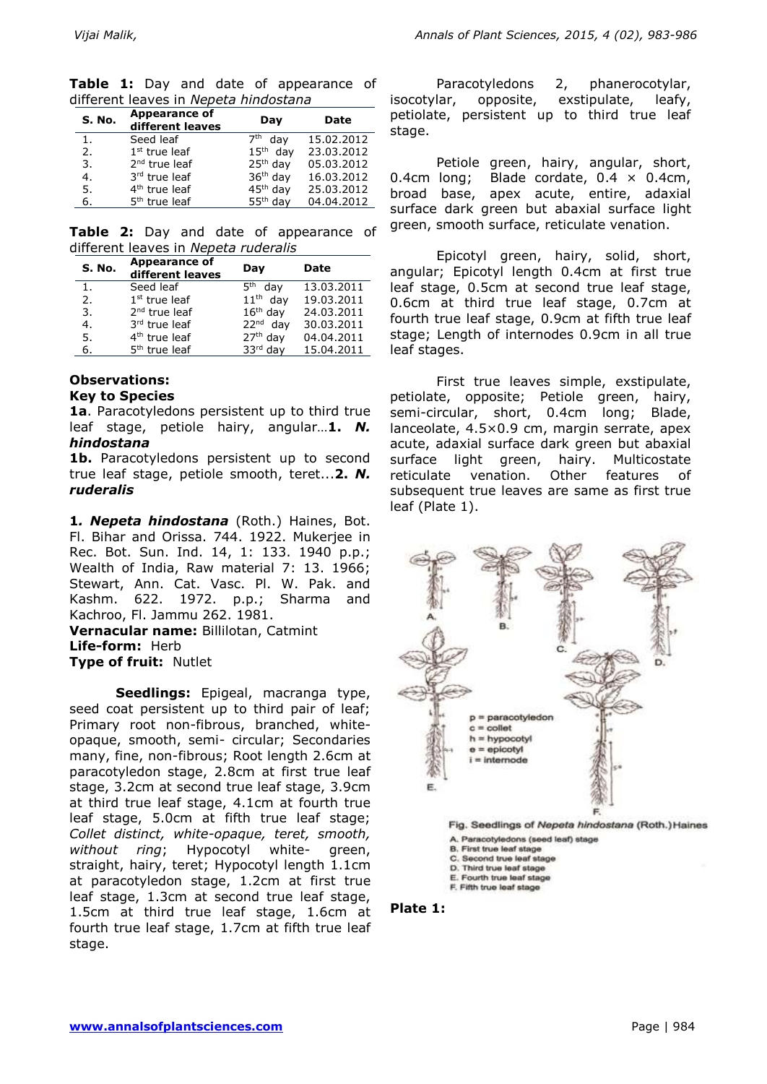|                                       |  |  | <b>Table 1:</b> Day and date of appearance of |  |
|---------------------------------------|--|--|-----------------------------------------------|--|
| different leaves in Nepeta hindostana |  |  |                                               |  |

| <b>S. No.</b> | Appearance of<br>different leaves | Day                    | Date       |
|---------------|-----------------------------------|------------------------|------------|
| 1.            | Seed leaf                         | 7 <sup>th</sup><br>dav | 15.02.2012 |
| 2.            | $1st$ true leaf                   | $15th$ day             | 23.03.2012 |
| 3.            | $2nd$ true leaf                   | $25th$ day             | 05.03.2012 |
| 4.            | 3rd true leaf                     | $36th$ day             | 16.03.2012 |
| 5.            | 4 <sup>th</sup> true leaf         | 45 <sup>th</sup> day   | 25.03.2012 |
| 6.            | 5 <sup>th</sup> true leaf         | 55 <sup>th</sup> day   | 04.04.2012 |

**Table 2:** Day and date of appearance of different leaves in *Nepeta ruderalis* 

| S. No. | <b>Appearance of</b><br>different leaves | Day                    | Date       |
|--------|------------------------------------------|------------------------|------------|
| 1.     | Seed leaf                                | 5 <sup>th</sup><br>dav | 13.03.2011 |
| 2.     | $1st$ true leaf                          | $11th$ day             | 19.03.2011 |
| 3.     | 2 <sup>nd</sup> true leaf                | $16th$ day             | 24.03.2011 |
| 4.     | 3rd true leaf                            | $22nd$ dav             | 30.03.2011 |
| 5.     | 4 <sup>th</sup> true leaf                | $27th$ day             | 04.04.2011 |
| 6.     | 5 <sup>th</sup> true leaf                | 33rd day               | 15.04.2011 |

#### **Observations: Key to Species**

**1a**. Paracotyledons persistent up to third true leaf stage, petiole hairy, angular…**1.** *N. hindostana*

1b. Paracotyledons persistent up to second true leaf stage, petiole smooth, teret...**2.** *N. ruderalis*

**1***. Nepeta hindostana* (Roth.) Haines, Bot. Fl. Bihar and Orissa. 744. 1922. Mukerjee in Rec. Bot. Sun. Ind. 14, 1: 133. 1940 p.p.; Wealth of India, Raw material 7: 13. 1966; Stewart, Ann. Cat. Vasc. Pl. W. Pak. and Kashm. 622. 1972. p.p.; Sharma and Kachroo, Fl. Jammu 262. 1981. **Vernacular name:** Billilotan, Catmint **Life-form:** Herb

# **Type of fruit:** Nutlet

**Seedlings:** Epigeal, macranga type, seed coat persistent up to third pair of leaf; Primary root non-fibrous, branched, whiteopaque, smooth, semi- circular; Secondaries many, fine, non-fibrous; Root length 2.6cm at paracotyledon stage, 2.8cm at first true leaf stage, 3.2cm at second true leaf stage, 3.9cm at third true leaf stage, 4.1cm at fourth true leaf stage, 5.0cm at fifth true leaf stage; *Collet distinct, white-opaque, teret, smooth, without ring*; Hypocotyl white- green, straight, hairy, teret; Hypocotyl length 1.1cm at paracotyledon stage, 1.2cm at first true leaf stage, 1.3cm at second true leaf stage, 1.5cm at third true leaf stage, 1.6cm at fourth true leaf stage, 1.7cm at fifth true leaf stage.

Paracotyledons 2, phanerocotylar, isocotylar, opposite, exstipulate, leafy, petiolate, persistent up to third true leaf stage.

Petiole green, hairy, angular, short, 0.4cm long; Blade cordate,  $0.4 \times 0.4$ cm, broad base, apex acute, entire, adaxial surface dark green but abaxial surface light green, smooth surface, reticulate venation.

Epicotyl green, hairy, solid, short, angular; Epicotyl length 0.4cm at first true leaf stage, 0.5cm at second true leaf stage, 0.6cm at third true leaf stage, 0.7cm at fourth true leaf stage, 0.9cm at fifth true leaf stage; Length of internodes 0.9cm in all true leaf stages.

First true leaves simple, exstipulate, petiolate, opposite; Petiole green, hairy, semi-circular, short, 0.4cm long; Blade, lanceolate, 4.5×0.9 cm, margin serrate, apex acute, adaxial surface dark green but abaxial surface light green, hairy. Multicostate reticulate venation. Other features of subsequent true leaves are same as first true leaf (Plate 1).



- E. Fourth true leaf stage
- F. Fifth true leaf stage

### **Plate 1:**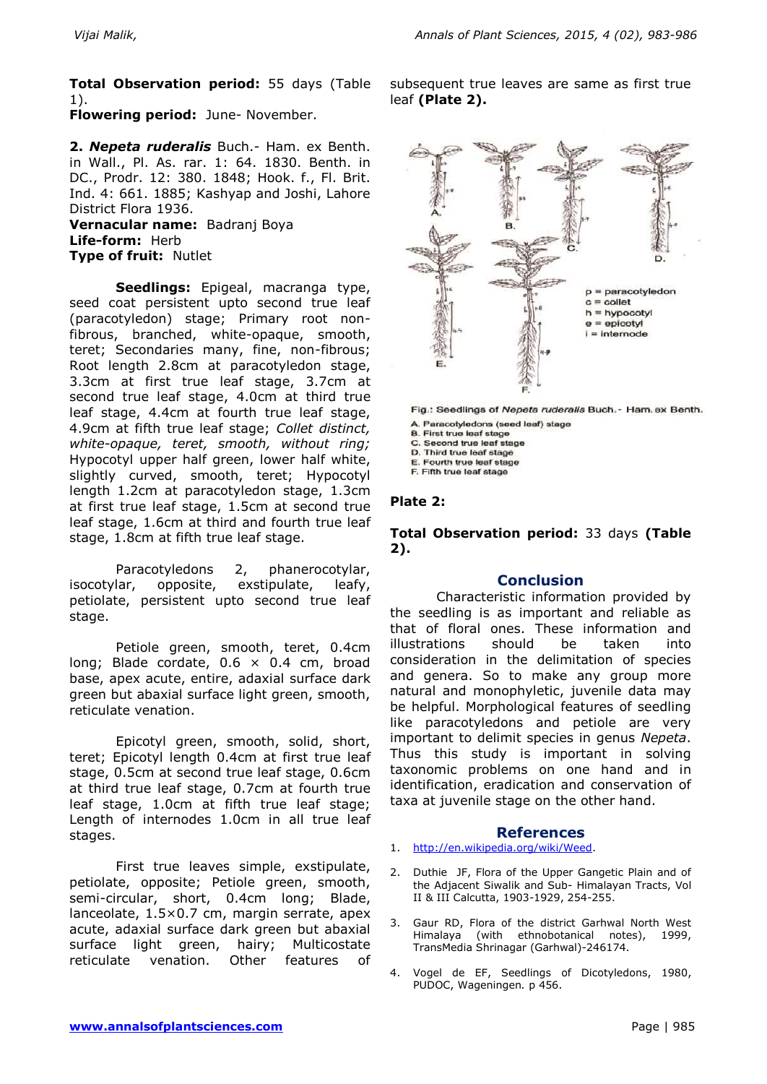**Total Observation period:** 55 days (Table 1).

**Flowering period:** June- November.

**2.** *Nepeta ruderalis* Buch.- Ham. ex Benth. in Wall., Pl. As. rar. 1: 64. 1830. Benth. in DC., Prodr. 12: 380. 1848; Hook. f., Fl. Brit. Ind. 4: 661. 1885; Kashyap and Joshi, Lahore District Flora 1936.

**Vernacular name:** Badranj Boya **Life-form:** Herb **Type of fruit:** Nutlet

**Seedlings:** Epigeal, macranga type, seed coat persistent upto second true leaf (paracotyledon) stage; Primary root nonfibrous, branched, white-opaque, smooth, teret; Secondaries many, fine, non-fibrous; Root length 2.8cm at paracotyledon stage, 3.3cm at first true leaf stage, 3.7cm at second true leaf stage, 4.0cm at third true leaf stage, 4.4cm at fourth true leaf stage, 4.9cm at fifth true leaf stage; *Collet distinct, white-opaque, teret, smooth, without ring;* Hypocotyl upper half green, lower half white, slightly curved, smooth, teret; Hypocotyl length 1.2cm at paracotyledon stage, 1.3cm at first true leaf stage, 1.5cm at second true leaf stage, 1.6cm at third and fourth true leaf stage, 1.8cm at fifth true leaf stage.

Paracotyledons 2, phanerocotylar, isocotylar, opposite, exstipulate, leafy, petiolate, persistent upto second true leaf stage.

Petiole green, smooth, teret, 0.4cm long; Blade cordate,  $0.6 \times 0.4$  cm, broad base, apex acute, entire, adaxial surface dark green but abaxial surface light green, smooth, reticulate venation.

Epicotyl green, smooth, solid, short, teret; Epicotyl length 0.4cm at first true leaf stage, 0.5cm at second true leaf stage, 0.6cm at third true leaf stage, 0.7cm at fourth true leaf stage, 1.0cm at fifth true leaf stage; Length of internodes 1.0cm in all true leaf stages.

First true leaves simple, exstipulate, petiolate, opposite; Petiole green, smooth, semi-circular, short, 0.4cm long; Blade, lanceolate, 1.5×0.7 cm, margin serrate, apex acute, adaxial surface dark green but abaxial surface light green, hairy; Multicostate reticulate venation. Other features of

subsequent true leaves are same as first true leaf **(Plate 2).**



Fig.: Seedlings of Nepeta ruderalis Buch. - Ham. ex Benth.

A. Paracotyledons (seed leaf) stage

**B. First true leaf stage** C. Second true leaf stage

D. Third true leaf stage

E. Fourth true leaf stage

F. Fifth true leaf stage

### **Plate 2:**

**Total Observation period:** 33 days **(Table 2).**

### **Conclusion**

Characteristic information provided by the seedling is as important and reliable as that of floral ones. These information and illustrations should be taken into consideration in the delimitation of species and genera. So to make any group more natural and monophyletic, juvenile data may be helpful. Morphological features of seedling like paracotyledons and petiole are very important to delimit species in genus *Nepeta*. Thus this study is important in solving taxonomic problems on one hand and in identification, eradication and conservation of taxa at juvenile stage on the other hand.

### **References**

- 1. [http://en.wikipedia.org/wiki/Weed.](http://en.wikipedia.org/wiki/Weed)
- 2. Duthie JF, Flora of the Upper Gangetic Plain and of the Adjacent Siwalik and Sub- Himalayan Tracts, Vol II & III Calcutta, 1903-1929, 254-255.
- 3. Gaur RD, Flora of the district Garhwal North West Himalaya (with ethnobotanical notes), 1999, TransMedia Shrinagar (Garhwal)-246174.
- 4. Vogel de EF, Seedlings of Dicotyledons, 1980, PUDOC, Wageningen*.* p 456.